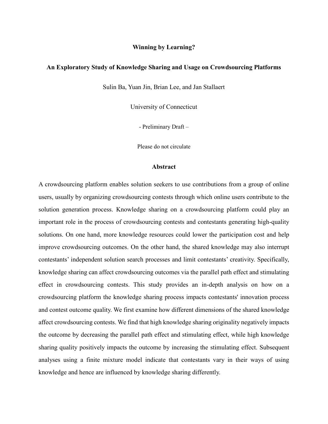#### **Winning by Learning?**

## **An Exploratory Study of Knowledge Sharing and Usage on Crowdsourcing Platforms**

Sulin Ba, Yuan Jin, Brian Lee, and Jan Stallaert

University of Connecticut

- Preliminary Draft –

Please do not circulate

#### **Abstract**

A crowdsourcing platform enables solution seekers to use contributions from a group of online users, usually by organizing crowdsourcing contests through which online users contribute to the solution generation process. Knowledge sharing on a crowdsourcing platform could play an important role in the process of crowdsourcing contests and contestants generating high-quality solutions. On one hand, more knowledge resources could lower the participation cost and help improve crowdsourcing outcomes. On the other hand, the shared knowledge may also interrupt contestants' independent solution search processes and limit contestants' creativity. Specifically, knowledge sharing can affect crowdsourcing outcomes via the parallel path effect and stimulating effect in crowdsourcing contests. This study provides an in-depth analysis on how on a crowdsourcing platform the knowledge sharing process impacts contestants' innovation process and contest outcome quality. We first examine how different dimensions of the shared knowledge affect crowdsourcing contests. We find that high knowledge sharing originality negatively impacts the outcome by decreasing the parallel path effect and stimulating effect, while high knowledge sharing quality positively impacts the outcome by increasing the stimulating effect. Subsequent analyses using a finite mixture model indicate that contestants vary in their ways of using knowledge and hence are influenced by knowledge sharing differently.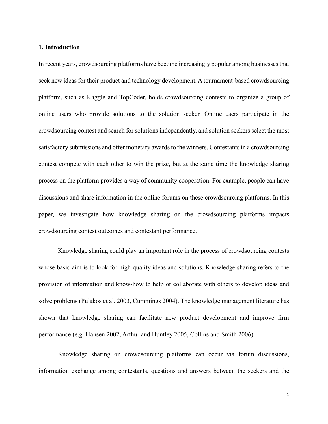## **1. Introduction**

In recent years, crowdsourcing platforms have become increasingly popular among businesses that seek new ideas for their product and technology development. A tournament-based crowdsourcing platform, such as Kaggle and TopCoder, holds crowdsourcing contests to organize a group of online users who provide solutions to the solution seeker. Online users participate in the crowdsourcing contest and search for solutions independently, and solution seekers select the most satisfactory submissions and offer monetary awards to the winners. Contestants in a crowdsourcing contest compete with each other to win the prize, but at the same time the knowledge sharing process on the platform provides a way of community cooperation. For example, people can have discussions and share information in the online forums on these crowdsourcing platforms. In this paper, we investigate how knowledge sharing on the crowdsourcing platforms impacts crowdsourcing contest outcomes and contestant performance.

Knowledge sharing could play an important role in the process of crowdsourcing contests whose basic aim is to look for high-quality ideas and solutions. Knowledge sharing refers to the provision of information and know-how to help or collaborate with others to develop ideas and solve problems (Pulakos et al. 2003, Cummings 2004). The knowledge management literature has shown that knowledge sharing can facilitate new product development and improve firm performance (e.g. Hansen 2002, Arthur and Huntley 2005, Collins and Smith 2006).

Knowledge sharing on crowdsourcing platforms can occur via forum discussions, information exchange among contestants, questions and answers between the seekers and the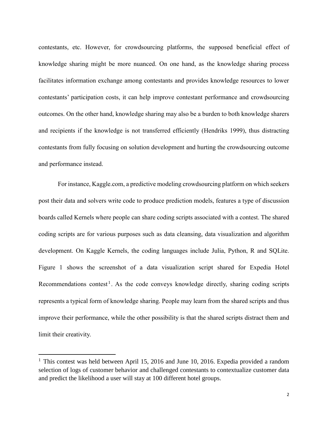contestants, etc. However, for crowdsourcing platforms, the supposed beneficial effect of knowledge sharing might be more nuanced. On one hand, as the knowledge sharing process facilitates information exchange among contestants and provides knowledge resources to lower contestants' participation costs, it can help improve contestant performance and crowdsourcing outcomes. On the other hand, knowledge sharing may also be a burden to both knowledge sharers and recipients if the knowledge is not transferred efficiently (Hendriks 1999), thus distracting contestants from fully focusing on solution development and hurting the crowdsourcing outcome and performance instead.

For instance, Kaggle.com, a predictive modeling crowdsourcing platform on which seekers post their data and solvers write code to produce prediction models, features a type of discussion boards called Kernels where people can share coding scripts associated with a contest. The shared coding scripts are for various purposes such as data cleansing, data visualization and algorithm development. On Kaggle Kernels, the coding languages include Julia, Python, R and SQLite. Figure 1 shows the screenshot of a data visualization script shared for Expedia Hotel Recommendations contest<sup>1</sup>. As the code conveys knowledge directly, sharing coding scripts represents a typical form of knowledge sharing. People may learn from the shared scripts and thus improve their performance, while the other possibility is that the shared scripts distract them and limit their creativity.

 $\overline{a}$ 

<sup>&</sup>lt;sup>1</sup> This contest was held between April 15, 2016 and June 10, 2016. Expedia provided a random selection of logs of customer behavior and challenged contestants to contextualize customer data and predict the likelihood a user will stay at 100 different hotel groups.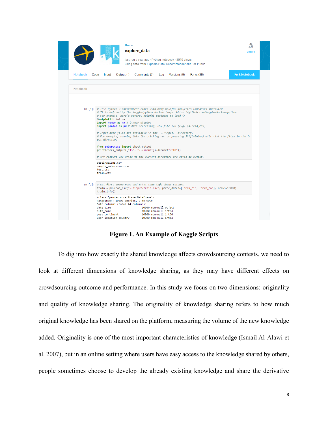

**Figure 1. An Example of Kaggle Scripts**

To dig into how exactly the shared knowledge affects crowdsourcing contests, we need to look at different dimensions of knowledge sharing, as they may have different effects on crowdsourcing outcome and performance. In this study we focus on two dimensions: originality and quality of knowledge sharing. The originality of knowledge sharing refers to how much original knowledge has been shared on the platform, measuring the volume of the new knowledge added. Originality is one of the most important characteristics of knowledge (Ismail Al-Alawi et al. 2007), but in an online setting where users have easy access to the knowledge shared by others, people sometimes choose to develop the already existing knowledge and share the derivative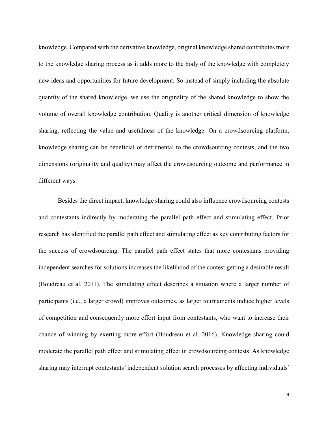knowledge. Compared with the derivative knowledge, original knowledge shared contributes more to the knowledge sharing process as it adds more to the body of the knowledge with completely new ideas and opportunities for future development. So instead of simply including the absolute quantity of the shared knowledge, we use the originality of the shared knowledge to show the volume of overall knowledge contribution. Quality is another critical dimension of knowledge sharing, reflecting the value and usefulness of the knowledge. On a crowdsourcing platform, knowledge sharing can be beneficial or detrimental to the crowdsourcing contests, and the two dimensions (originality and quality) may affect the crowdsourcing outcome and performance in different ways.

Besides the direct impact, knowledge sharing could also influence crowdsourcing contests and contestants indirectly by moderating the parallel path effect and stimulating effect. Prior research has identified the parallel path effect and stimulating effect as key contributing factors for the success of crowdsourcing. The parallel path effect states that more contestants providing independent searches for solutions increases the likelihood of the contest getting a desirable result (Boudreau et al. 2011). The stimulating effect describes a situation where a larger number of participants (i.e., a larger crowd) improves outcomes, as larger tournaments induce higher levels of competition and consequently more effort input from contestants, who want to increase their chance of winning by exerting more effort (Boudreau et al. 2016). Knowledge sharing could moderate the parallel path effect and stimulating effect in crowdsourcing contests. As knowledge sharing may interrupt contestants' independent solution search processes by affecting individuals'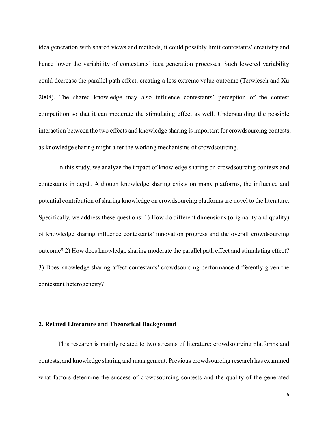idea generation with shared views and methods, it could possibly limit contestants' creativity and hence lower the variability of contestants' idea generation processes. Such lowered variability could decrease the parallel path effect, creating a less extreme value outcome (Terwiesch and Xu 2008). The shared knowledge may also influence contestants' perception of the contest competition so that it can moderate the stimulating effect as well. Understanding the possible interaction between the two effects and knowledge sharing is important for crowdsourcing contests, as knowledge sharing might alter the working mechanisms of crowdsourcing.

In this study, we analyze the impact of knowledge sharing on crowdsourcing contests and contestants in depth. Although knowledge sharing exists on many platforms, the influence and potential contribution of sharing knowledge on crowdsourcing platforms are novel to the literature. Specifically, we address these questions: 1) How do different dimensions (originality and quality) of knowledge sharing influence contestants' innovation progress and the overall crowdsourcing outcome? 2) How does knowledge sharing moderate the parallel path effect and stimulating effect? 3) Does knowledge sharing affect contestants' crowdsourcing performance differently given the contestant heterogeneity?

## **2. Related Literature and Theoretical Background**

This research is mainly related to two streams of literature: crowdsourcing platforms and contests, and knowledge sharing and management. Previous crowdsourcing research has examined what factors determine the success of crowdsourcing contests and the quality of the generated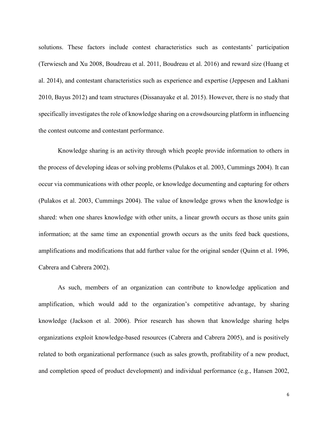solutions. These factors include contest characteristics such as contestants' participation (Terwiesch and Xu 2008, Boudreau et al. 2011, Boudreau et al. 2016) and reward size (Huang et al. 2014), and contestant characteristics such as experience and expertise (Jeppesen and Lakhani 2010, Bayus 2012) and team structures (Dissanayake et al. 2015). However, there is no study that specifically investigates the role of knowledge sharing on a crowdsourcing platform in influencing the contest outcome and contestant performance.

Knowledge sharing is an activity through which people provide information to others in the process of developing ideas or solving problems (Pulakos et al. 2003, Cummings 2004). It can occur via communications with other people, or knowledge documenting and capturing for others (Pulakos et al. 2003, Cummings 2004). The value of knowledge grows when the knowledge is shared: when one shares knowledge with other units, a linear growth occurs as those units gain information; at the same time an exponential growth occurs as the units feed back questions, amplifications and modifications that add further value for the original sender (Quinn et al. 1996, Cabrera and Cabrera 2002).

As such, members of an organization can contribute to knowledge application and amplification, which would add to the organization's competitive advantage, by sharing knowledge (Jackson et al. 2006). Prior research has shown that knowledge sharing helps organizations exploit knowledge-based resources (Cabrera and Cabrera 2005), and is positively related to both organizational performance (such as sales growth, profitability of a new product, and completion speed of product development) and individual performance (e.g., Hansen 2002,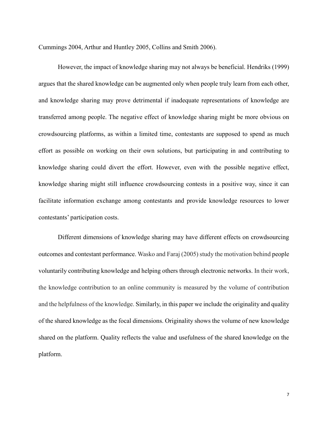Cummings 2004, Arthur and Huntley 2005, Collins and Smith 2006).

However, the impact of knowledge sharing may not always be beneficial. Hendriks (1999) argues that the shared knowledge can be augmented only when people truly learn from each other, and knowledge sharing may prove detrimental if inadequate representations of knowledge are transferred among people. The negative effect of knowledge sharing might be more obvious on crowdsourcing platforms, as within a limited time, contestants are supposed to spend as much effort as possible on working on their own solutions, but participating in and contributing to knowledge sharing could divert the effort. However, even with the possible negative effect, knowledge sharing might still influence crowdsourcing contests in a positive way, since it can facilitate information exchange among contestants and provide knowledge resources to lower contestants' participation costs.

Different dimensions of knowledge sharing may have different effects on crowdsourcing outcomes and contestant performance. Wasko and Faraj (2005) study the motivation behind people voluntarily contributing knowledge and helping others through electronic networks. In their work, the knowledge contribution to an online community is measured by the volume of contribution and the helpfulness of the knowledge. Similarly, in this paper we include the originality and quality of the shared knowledge as the focal dimensions. Originality shows the volume of new knowledge shared on the platform. Quality reflects the value and usefulness of the shared knowledge on the platform.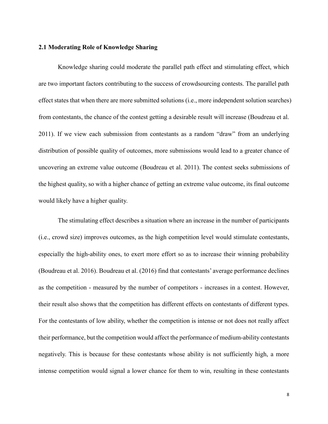## **2.1 Moderating Role of Knowledge Sharing**

Knowledge sharing could moderate the parallel path effect and stimulating effect, which are two important factors contributing to the success of crowdsourcing contests. The parallel path effect states that when there are more submitted solutions (i.e., more independent solution searches) from contestants, the chance of the contest getting a desirable result will increase (Boudreau et al. 2011). If we view each submission from contestants as a random "draw" from an underlying distribution of possible quality of outcomes, more submissions would lead to a greater chance of uncovering an extreme value outcome (Boudreau et al. 2011). The contest seeks submissions of the highest quality, so with a higher chance of getting an extreme value outcome, its final outcome would likely have a higher quality.

The stimulating effect describes a situation where an increase in the number of participants (i.e., crowd size) improves outcomes, as the high competition level would stimulate contestants, especially the high-ability ones, to exert more effort so as to increase their winning probability (Boudreau et al. 2016). Boudreau et al. (2016) find that contestants' average performance declines as the competition - measured by the number of competitors - increases in a contest. However, their result also shows that the competition has different effects on contestants of different types. For the contestants of low ability, whether the competition is intense or not does not really affect their performance, but the competition would affect the performance of medium-ability contestants negatively. This is because for these contestants whose ability is not sufficiently high, a more intense competition would signal a lower chance for them to win, resulting in these contestants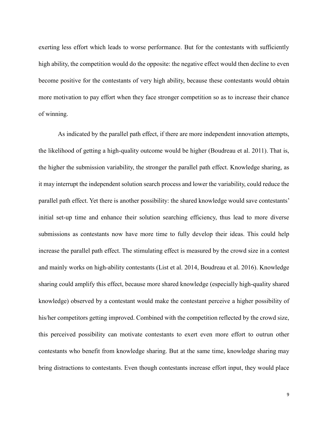exerting less effort which leads to worse performance. But for the contestants with sufficiently high ability, the competition would do the opposite: the negative effect would then decline to even become positive for the contestants of very high ability, because these contestants would obtain more motivation to pay effort when they face stronger competition so as to increase their chance of winning.

As indicated by the parallel path effect, if there are more independent innovation attempts, the likelihood of getting a high-quality outcome would be higher (Boudreau et al. 2011). That is, the higher the submission variability, the stronger the parallel path effect. Knowledge sharing, as it may interrupt the independent solution search process and lower the variability, could reduce the parallel path effect. Yet there is another possibility: the shared knowledge would save contestants' initial set-up time and enhance their solution searching efficiency, thus lead to more diverse submissions as contestants now have more time to fully develop their ideas. This could help increase the parallel path effect. The stimulating effect is measured by the crowd size in a contest and mainly works on high-ability contestants (List et al. 2014, Boudreau et al. 2016). Knowledge sharing could amplify this effect, because more shared knowledge (especially high-quality shared knowledge) observed by a contestant would make the contestant perceive a higher possibility of his/her competitors getting improved. Combined with the competition reflected by the crowd size, this perceived possibility can motivate contestants to exert even more effort to outrun other contestants who benefit from knowledge sharing. But at the same time, knowledge sharing may bring distractions to contestants. Even though contestants increase effort input, they would place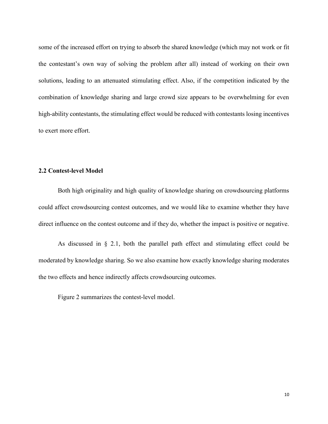some of the increased effort on trying to absorb the shared knowledge (which may not work or fit the contestant's own way of solving the problem after all) instead of working on their own solutions, leading to an attenuated stimulating effect. Also, if the competition indicated by the combination of knowledge sharing and large crowd size appears to be overwhelming for even high-ability contestants, the stimulating effect would be reduced with contestants losing incentives to exert more effort.

## **2.2 Contest-level Model**

Both high originality and high quality of knowledge sharing on crowdsourcing platforms could affect crowdsourcing contest outcomes, and we would like to examine whether they have direct influence on the contest outcome and if they do, whether the impact is positive or negative.

As discussed in § 2.1, both the parallel path effect and stimulating effect could be moderated by knowledge sharing. So we also examine how exactly knowledge sharing moderates the two effects and hence indirectly affects crowdsourcing outcomes.

Figure 2 summarizes the contest-level model.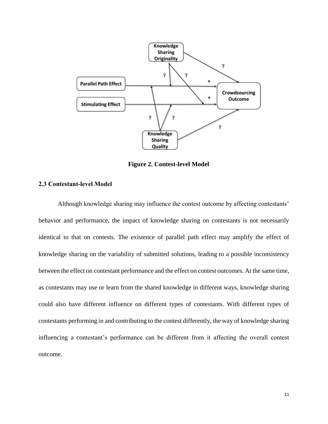

**Figure 2. Contest-level Model** 

# **2.3 Contestant-level Model**

Although knowledge sharing may influence the contest outcome by affecting contestants' behavior and performance, the impact of knowledge sharing on contestants is not necessarily identical to that on contests. The existence of parallel path effect may amplify the effect of knowledge sharing on the variability of submitted solutions, leading to a possible inconsistency between the effect on contestant performance and the effect on contest outcomes. At the same time, as contestants may use or learn from the shared knowledge in different ways, knowledge sharing could also have different influence on different types of contestants. With different types of contestants performing in and contributing to the contest differently, the way of knowledge sharing influencing a contestant's performance can be different from it affecting the overall contest outcome.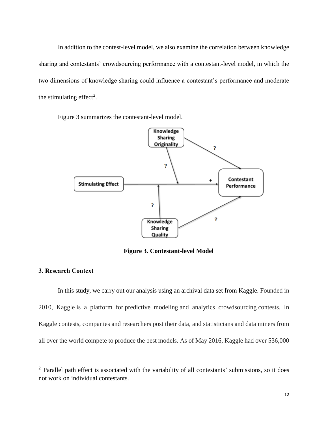In addition to the contest-level model, we also examine the correlation between knowledge sharing and contestants' crowdsourcing performance with a contestant-level model, in which the two dimensions of knowledge sharing could influence a contestant's performance and moderate the stimulating effect<sup>2</sup>.

Figure 3 summarizes the contestant-level model.



**Figure 3. Contestant-level Model** 

# **3. Research Context**

 $\overline{a}$ 

In this study, we carry out our analysis using an archival data set from Kaggle. Founded in 2010, Kaggle is a platform for predictive modeling and analytics crowdsourcing contests. In Kaggle contests, companies and researchers post their data, and statisticians and data miners from all over the world compete to produce the best models. As of May 2016, Kaggle had over 536,000

<sup>&</sup>lt;sup>2</sup> Parallel path effect is associated with the variability of all contestants' submissions, so it does not work on individual contestants.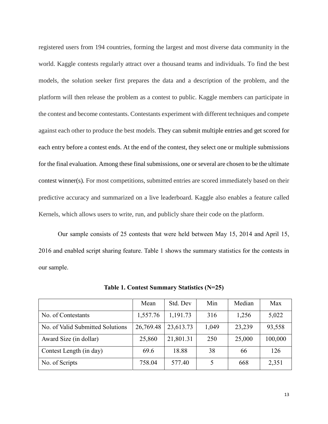registered users from 194 countries, forming the largest and most diverse data community in the world. Kaggle contests regularly attract over a thousand teams and individuals. To find the best models, the solution seeker first prepares the data and a description of the problem, and the platform will then release the problem as a contest to public. Kaggle members can participate in the contest and become contestants. Contestants experiment with different techniques and compete against each other to produce the best models. They can submit multiple entries and get scored for each entry before a contest ends. At the end of the contest, they select one or multiple submissions for the final evaluation. Among these final submissions, one or several are chosen to be the ultimate contest winner(s). For most competitions, submitted entries are scored immediately based on their predictive accuracy and summarized on a live leaderboard. Kaggle also enables a feature called Kernels, which allows users to write, run, and publicly share their code on the platform.

Our sample consists of 25 contests that were held between May 15, 2014 and April 15, 2016 and enabled script sharing feature. Table 1 shows the summary statistics for the contests in our sample.

|                                  | Mean      | Std. Dev  | Min   | Median | Max     |
|----------------------------------|-----------|-----------|-------|--------|---------|
| No. of Contestants               | 1,557.76  | 1,191.73  | 316   | 1,256  | 5,022   |
| No. of Valid Submitted Solutions | 26,769.48 | 23,613.73 | 1,049 | 23,239 | 93,558  |
| Award Size (in dollar)           | 25,860    | 21,801.31 | 250   | 25,000 | 100,000 |
| Contest Length (in day)          | 69.6      | 18.88     | 38    | 66     | 126     |
| No. of Scripts                   | 758.04    | 577.40    |       | 668    | 2,351   |

**Table 1. Contest Summary Statistics (N=25)**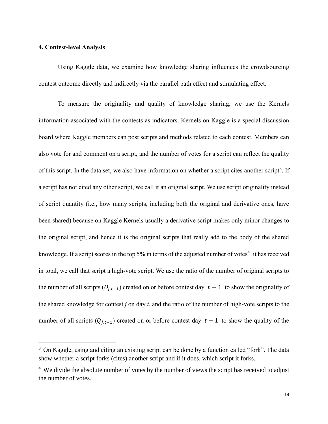## **4. Contest-level Analysis**

 $\overline{a}$ 

Using Kaggle data, we examine how knowledge sharing influences the crowdsourcing contest outcome directly and indirectly via the parallel path effect and stimulating effect.

To measure the originality and quality of knowledge sharing, we use the Kernels information associated with the contests as indicators. Kernels on Kaggle is a special discussion board where Kaggle members can post scripts and methods related to each contest. Members can also vote for and comment on a script, and the number of votes for a script can reflect the quality of this script. In the data set, we also have information on whether a script cites another script<sup>3</sup>. If a script has not cited any other script, we call it an original script. We use script originality instead of script quantity (i.e., how many scripts, including both the original and derivative ones, have been shared) because on Kaggle Kernels usually a derivative script makes only minor changes to the original script, and hence it is the original scripts that really add to the body of the shared knowledge. If a script scores in the top 5% in terms of the adjusted number of votes<sup>4</sup> it has received in total, we call that script a high-vote script. We use the ratio of the number of original scripts to the number of all scripts  $(O_{i,t-1})$  created on or before contest day  $t-1$  to show the originality of the shared knowledge for contest *j* on day *t*, and the ratio of the number of high-vote scripts to the number of all scripts  $(Q_{j,t-1})$  created on or before contest day  $t-1$  to show the quality of the

<sup>&</sup>lt;sup>3</sup> On Kaggle, using and citing an existing script can be done by a function called "fork". The data show whether a script forks (cites) another script and if it does, which script it forks.

<sup>&</sup>lt;sup>4</sup> We divide the absolute number of votes by the number of views the script has received to adjust the number of votes.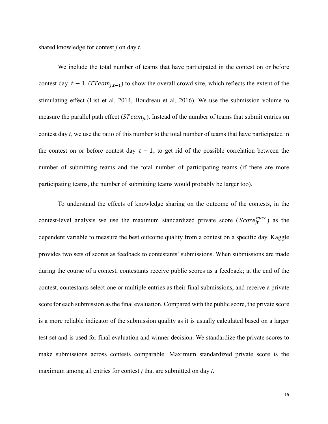shared knowledge for contest *j* on day *t*.

We include the total number of teams that have participated in the contest on or before contest day  $t - 1$  (TTeam<sub>it-1</sub>) to show the overall crowd size, which reflects the extent of the stimulating effect (List et al. 2014, Boudreau et al. 2016). We use the submission volume to measure the parallel path effect ( $STeam_{it}$ ). Instead of the number of teams that submit entries on contest day *t,* we use the ratio of this number to the total number of teams that have participated in the contest on or before contest day  $t - 1$ , to get rid of the possible correlation between the number of submitting teams and the total number of participating teams (if there are more participating teams, the number of submitting teams would probably be larger too).

To understand the effects of knowledge sharing on the outcome of the contests, in the contest-level analysis we use the maximum standardized private score ( $Score_{jt}^{max}$ ) as the dependent variable to measure the best outcome quality from a contest on a specific day. Kaggle provides two sets of scores as feedback to contestants' submissions. When submissions are made during the course of a contest, contestants receive public scores as a feedback; at the end of the contest, contestants select one or multiple entries as their final submissions, and receive a private score for each submission as the final evaluation. Compared with the public score, the private score is a more reliable indicator of the submission quality as it is usually calculated based on a larger test set and is used for final evaluation and winner decision. We standardize the private scores to make submissions across contests comparable. Maximum standardized private score is the maximum among all entries for contest *j* that are submitted on day *t*.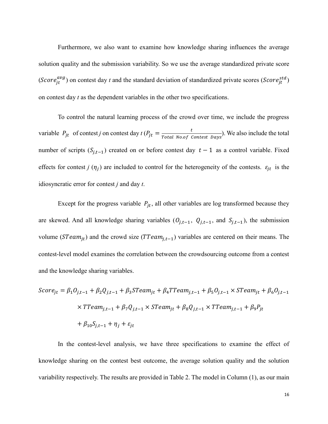Furthermore, we also want to examine how knowledge sharing influences the average solution quality and the submission variability. So we use the average standardized private score (Score<sub>jt</sub><sup>avg</sup>) on contest day *t* and the standard deviation of standardized private scores (Score<sub>jt</sub><sup>std</sup>) on contest day *t* as the dependent variables in the other two specifications.

To control the natural learning process of the crowd over time, we include the progress variable  $P_{jt}$  of contest *j* on contest day  $t (P_{jt} = \frac{t}{Total Model}$  $\frac{c}{Total\ No. of\ Contest\ Days}$ . We also include the total number of scripts  $(S_{j,t-1})$  created on or before contest day  $t-1$  as a control variable. Fixed effects for contest *j*  $(\eta_j)$  are included to control for the heterogeneity of the contests.  $\varepsilon_{jt}$  is the idiosyncratic error for contest *j* and day *t*.

Except for the progress variable  $P_{it}$ , all other variables are log transformed because they are skewed. And all knowledge sharing variables  $(0_{j,t-1}, 0_{j,t-1},$  and  $S_{j,t-1})$ , the submission volume ( $STeam_{jt}$ ) and the crowd size ( $TTeam_{j,t-1}$ ) variables are centered on their means. The contest-level model examines the correlation between the crowdsourcing outcome from a contest and the knowledge sharing variables.

$$
Score_{jt} = \beta_1 O_{j,t-1} + \beta_2 Q_{j,t-1} + \beta_3 Steam_{jt} + \beta_4 T Team_{j,t-1} + \beta_5 O_{j,t-1} \times S Team_{jt} + \beta_6 O_{j,t-1}
$$
  
×  $TTeam_{j,t-1} + \beta_7 Q_{j,t-1} \times S Team_{jt} + \beta_8 Q_{j,t-1} \times T Team_{j,t-1} + \beta_9 P_{jt}$   
+  $\beta_{10} S_{j,t-1} + \eta_j + \varepsilon_{jt}$ 

In the contest-level analysis, we have three specifications to examine the effect of knowledge sharing on the contest best outcome, the average solution quality and the solution variability respectively. The results are provided in Table 2. The model in Column (1), as our main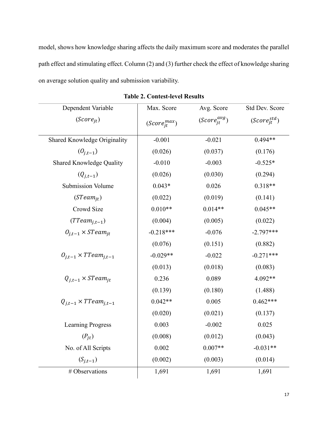model, shows how knowledge sharing affects the daily maximum score and moderates the parallel path effect and stimulating effect. Column (2) and (3) further check the effect of knowledge sharing on average solution quality and submission variability.

| Dependent Variable               | Max. Score           | Avg. Score           | Std Dev. Score       |
|----------------------------------|----------------------|----------------------|----------------------|
| $(Score_{it})$                   | $(Score^{max}_{it})$ | $(Score_{jt}^{avg})$ | $(Score^{std}_{it})$ |
| Shared Knowledge Originality     | $-0.001$             | $-0.021$             | $0.494**$            |
| $(0_{i,t-1})$                    | (0.026)              | (0.037)              | (0.176)              |
| Shared Knowledge Quality         | $-0.010$             | $-0.003$             | $-0.525*$            |
| $(Q_{i,t-1})$                    | (0.026)              | (0.030)              | (0.294)              |
| <b>Submission Volume</b>         | $0.043*$             | 0.026                | $0.318**$            |
| $(STeam_{it})$                   | (0.022)              | (0.019)              | (0.141)              |
| Crowd Size                       | $0.010**$            | $0.014**$            | $0.045**$            |
| $(TTeam_{i,t-1})$                | (0.004)              | (0.005)              | (0.022)              |
| $O_{i,t-1} \times STeam_{it}$    | $-0.218***$          | $-0.076$             | $-2.797***$          |
|                                  | (0.076)              | (0.151)              | (0.882)              |
| $O_{i,t-1} \times TTeam_{i,t-1}$ | $-0.029**$           | $-0.022$             | $-0.271***$          |
|                                  | (0.013)              | (0.018)              | (0.083)              |
| $Q_{i,t-1} \times STeam_{it}$    | 0.236                | 0.089                | 4.092**              |
|                                  | (0.139)              | (0.180)              | (1.488)              |
| $Q_{i,t-1} \times TTeam_{i,t-1}$ | $0.042**$            | 0.005                | $0.462***$           |
|                                  | (0.020)              | (0.021)              | (0.137)              |
| <b>Learning Progress</b>         | 0.003                | $-0.002$             | 0.025                |
| $(P_{it})$                       | (0.008)              | (0.012)              | (0.043)              |
| No. of All Scripts               | 0.002                | $0.007**$            | $-0.031**$           |
| $(S_{j,t-1})$                    | (0.002)              | (0.003)              | (0.014)              |
| # Observations                   | 1,691                | 1,691                | 1,691                |

**Table 2. Contest-level Results**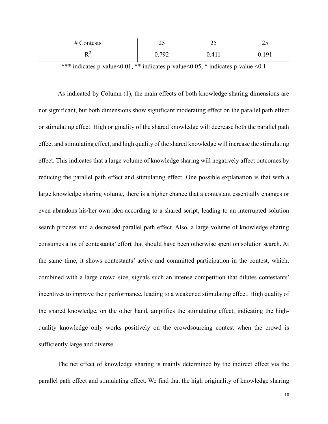| $#$ Contests         | ب ک   | ر ب   | ر_    |
|----------------------|-------|-------|-------|
| $\mathbf{D}^2$<br>17 | 0.792 | 0.411 | 0.191 |

\*\*\* indicates p-value <  $0.01$ , \*\* indicates p-value <  $0.05$ , \* indicates p-value <  $0.1$ 

As indicated by Column (1), the main effects of both knowledge sharing dimensions are not significant, but both dimensions show significant moderating effect on the parallel path effect or stimulating effect. High originality of the shared knowledge will decrease both the parallel path effect and stimulating effect, and high quality of the shared knowledge will increase the stimulating effect. This indicates that a large volume of knowledge sharing will negatively affect outcomes by reducing the parallel path effect and stimulating effect. One possible explanation is that with a large knowledge sharing volume, there is a higher chance that a contestant essentially changes or even abandons his/her own idea according to a shared script, leading to an interrupted solution search process and a decreased parallel path effect. Also, a large volume of knowledge sharing consumes a lot of contestants' effort that should have been otherwise spent on solution search. At the same time, it shows contestants' active and committed participation in the contest, which, combined with a large crowd size, signals such an intense competition that dilutes contestants' incentives to improve their performance, leading to a weakened stimulating effect. High quality of the shared knowledge, on the other hand, amplifies the stimulating effect, indicating the highquality knowledge only works positively on the crowdsourcing contest when the crowd is sufficiently large and diverse.

The net effect of knowledge sharing is mainly determined by the indirect effect via the parallel path effect and stimulating effect. We find that the high originality of knowledge sharing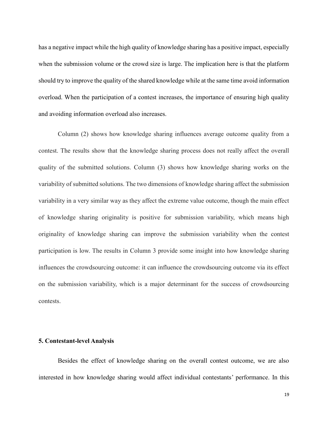has a negative impact while the high quality of knowledge sharing has a positive impact, especially when the submission volume or the crowd size is large. The implication here is that the platform should try to improve the quality of the shared knowledge while at the same time avoid information overload. When the participation of a contest increases, the importance of ensuring high quality and avoiding information overload also increases.

Column (2) shows how knowledge sharing influences average outcome quality from a contest. The results show that the knowledge sharing process does not really affect the overall quality of the submitted solutions. Column (3) shows how knowledge sharing works on the variability of submitted solutions. The two dimensions of knowledge sharing affect the submission variability in a very similar way as they affect the extreme value outcome, though the main effect of knowledge sharing originality is positive for submission variability, which means high originality of knowledge sharing can improve the submission variability when the contest participation is low. The results in Column 3 provide some insight into how knowledge sharing influences the crowdsourcing outcome: it can influence the crowdsourcing outcome via its effect on the submission variability, which is a major determinant for the success of crowdsourcing contests.

#### **5. Contestant-level Analysis**

Besides the effect of knowledge sharing on the overall contest outcome, we are also interested in how knowledge sharing would affect individual contestants' performance. In this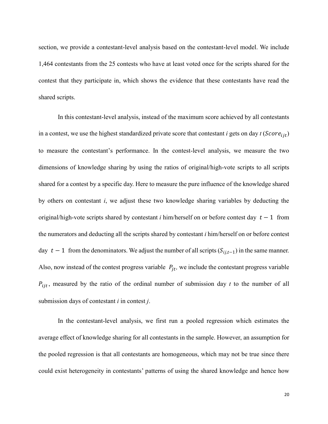section, we provide a contestant-level analysis based on the contestant-level model. We include 1,464 contestants from the 25 contests who have at least voted once for the scripts shared for the contest that they participate in, which shows the evidence that these contestants have read the shared scripts.

In this contestant-level analysis, instead of the maximum score achieved by all contestants in a contest, we use the highest standardized private score that contestant  $i$  gets on day  $t$  ( $Score_{ijt}$ ) to measure the contestant's performance. In the contest-level analysis, we measure the two dimensions of knowledge sharing by using the ratios of original/high-vote scripts to all scripts shared for a contest by a specific day. Here to measure the pure influence of the knowledge shared by others on contestant *i*, we adjust these two knowledge sharing variables by deducting the original/high-vote scripts shared by contestant *i* him/herself on or before contest day  $t - 1$  from the numerators and deducting all the scripts shared by contestant *i* him/herself on or before contest day  $t - 1$  from the denominators. We adjust the number of all scripts  $(S_{i,i,t-1})$  in the same manner. Also, now instead of the contest progress variable  $P_{it}$ , we include the contestant progress variable  $P_{ijt}$ , measured by the ratio of the ordinal number of submission day *t* to the number of all submission days of contestant *i* in contest *j*.

In the contestant-level analysis, we first run a pooled regression which estimates the average effect of knowledge sharing for all contestants in the sample. However, an assumption for the pooled regression is that all contestants are homogeneous, which may not be true since there could exist heterogeneity in contestants' patterns of using the shared knowledge and hence how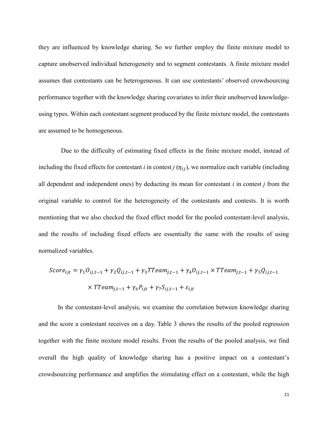they are influenced by knowledge sharing. So we further employ the finite mixture model to capture unobserved individual heterogeneity and to segment contestants. A finite mixture model assumes that contestants can be heterogeneous. It can use contestants' observed crowdsourcing performance together with the knowledge sharing covariates to infer their unobserved knowledgeusing types. Within each contestant segment produced by the finite mixture model, the contestants are assumed to be homogeneous.

Due to the difficulty of estimating fixed effects in the finite mixture model, instead of including the fixed effects for contestant *i* in contest  $j(\eta_{ij})$ , we normalize each variable (including all dependent and independent ones) by deducting its mean for contestant *i* in contest *j* from the original variable to control for the heterogeneity of the contestants and contests. It is worth mentioning that we also checked the fixed effect model for the pooled contestant-level analysis, and the results of including fixed effects are essentially the same with the results of using normalized variables.

$$
Score_{ijt} = \gamma_1 O_{ij,t-1} + \gamma_2 Q_{ij,t-1} + \gamma_3 T Team_{j,t-1} + \gamma_4 O_{ij,t-1} \times T Team_{j,t-1} + \gamma_5 Q_{ij,t-1}
$$

$$
\times T Team_{j,t-1} + \gamma_6 P_{ijt} + \gamma_7 S_{ij,t-1} + \varepsilon_{ijt}
$$

In the contestant-level analysis, we examine the correlation between knowledge sharing and the score a contestant receives on a day. Table 3 shows the results of the pooled regression together with the finite mixture model results. From the results of the pooled analysis, we find overall the high quality of knowledge sharing has a positive impact on a contestant's crowdsourcing performance and amplifies the stimulating effect on a contestant, while the high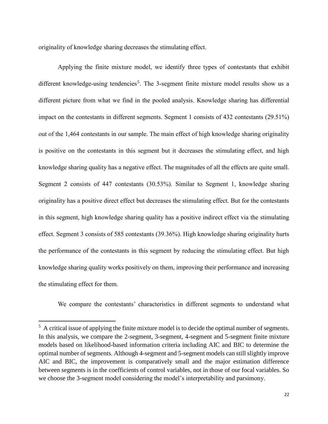originality of knowledge sharing decreases the stimulating effect.

Applying the finite mixture model, we identify three types of contestants that exhibit different knowledge-using tendencies<sup>5</sup>. The 3-segment finite mixture model results show us a different picture from what we find in the pooled analysis. Knowledge sharing has differential impact on the contestants in different segments. Segment 1 consists of 432 contestants (29.51%) out of the 1,464 contestants in our sample. The main effect of high knowledge sharing originality is positive on the contestants in this segment but it decreases the stimulating effect, and high knowledge sharing quality has a negative effect. The magnitudes of all the effects are quite small. Segment 2 consists of 447 contestants (30.53%). Similar to Segment 1, knowledge sharing originality has a positive direct effect but decreases the stimulating effect. But for the contestants in this segment, high knowledge sharing quality has a positive indirect effect via the stimulating effect. Segment 3 consists of 585 contestants (39.36%). High knowledge sharing originality hurts the performance of the contestants in this segment by reducing the stimulating effect. But high knowledge sharing quality works positively on them, improving their performance and increasing the stimulating effect for them.

We compare the contestants' characteristics in different segments to understand what

 $\overline{a}$ 

 $<sup>5</sup>$  A critical issue of applying the finite mixture model is to decide the optimal number of segments.</sup> In this analysis, we compare the 2-segment, 3-segment, 4-segment and 5-segment finite mixture models based on likelihood-based information criteria including AIC and BIC to determine the optimal number of segments. Although 4-segment and 5-segment models can still slightly improve AIC and BIC, the improvement is comparatively small and the major estimation difference between segments is in the coefficients of control variables, not in those of our focal variables. So we choose the 3-segment model considering the model's interpretability and parsimony.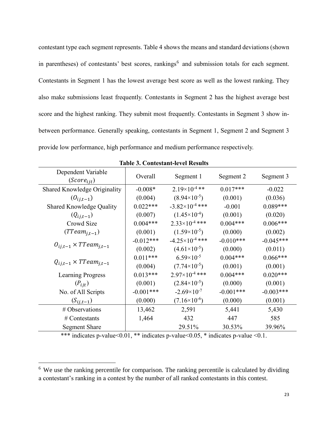contestant type each segment represents. Table 4 shows the means and standard deviations (shown in parentheses) of contestants' best scores, rankings<sup>6</sup> and submission totals for each segment. Contestants in Segment 1 has the lowest average best score as well as the lowest ranking. They also make submissions least frequently. Contestants in Segment 2 has the highest average best score and the highest ranking. They submit most frequently. Contestants in Segment 3 show inbetween performance. Generally speaking, contestants in Segment 1, Segment 2 and Segment 3 provide low performance, high performance and medium performance respectively.

| Dependent Variable<br>$(Score_{\text{fit}})$ | Overall     | Segment 1                | Segment 2   | Segment 3   |
|----------------------------------------------|-------------|--------------------------|-------------|-------------|
| Shared Knowledge Originality                 | $-0.008*$   | $2.19\times10^{-4}$ **   | $0.017***$  | $-0.022$    |
| $(0_{i,j,t-1})$                              | (0.004)     | $(8.94\times10^{-5})$    | (0.001)     | (0.036)     |
| <b>Shared Knowledge Quality</b>              | $0.022***$  | $-3.82\times10^{-4}$ *** | $-0.001$    | $0.089***$  |
| $(Q_{ij,t-1})$                               | (0.007)     | $(1.45\times10^{-4})$    | (0.001)     | (0.020)     |
| Crowd Size                                   | $0.004***$  | $2.33\times10^{-4}$ ***  | $0.004***$  | $0.006***$  |
| $(TTeam_{i,t-1})$                            | (0.001)     | $(1.59\times10^{-5})$    | (0.000)     | (0.002)     |
| $O_{i,i,t-1} \times Tream_{i,t-1}$           | $-0.012***$ | $-4.25\times10^{-4}$ *** | $-0.010***$ | $-0.045***$ |
|                                              | (0.002)     | $(4.61\times10^{-5})$    | (0.000)     | (0.011)     |
| $Q_{i,i,t-1} \times TTeam_{i,t-1}$           | $0.011***$  | $6.59\times10^{-5}$      | $0.004***$  | $0.066***$  |
|                                              | (0.004)     | $(7.74\times10^{-5})$    | (0.001)     | (0.001)     |
| <b>Learning Progress</b>                     | $0.013***$  | $2.97\times10^{-4}$ ***  | $0.004***$  | $0.020***$  |
| $(P_{ijt})$                                  | (0.001)     | $(2.84\times10^{-5})$    | (0.000)     | (0.001)     |
| No. of All Scripts                           | $-0.001***$ | $-2.69\times10^{-7}$     | $-0.001***$ | $-0.003***$ |
| $(S_{ij,t-1})$                               | (0.000)     | $(7.16\times10^{-6})$    | (0.000)     | (0.001)     |
| # Observations                               | 13,462      | 2,591                    | 5,441       | 5,430       |
| # Contestants                                | 1,464       | 432                      | 447         | 585         |
| <b>Segment Share</b>                         |             | 29.51%                   | 30.53%      | 39.96%      |

|  | <b>Table 3. Contestant-level Results</b> |
|--|------------------------------------------|
|--|------------------------------------------|

\*\*\* indicates p-value<0.01, \*\* indicates p-value <0.05, \* indicates p-value <0.1.

 $\overline{a}$ 

<sup>&</sup>lt;sup>6</sup> We use the ranking percentile for comparison. The ranking percentile is calculated by dividing a contestant's ranking in a contest by the number of all ranked contestants in this contest.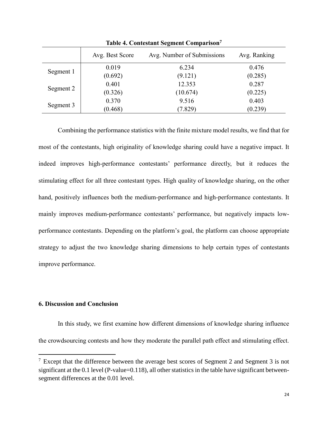|           | Avg. Best Score | Avg. Number of Submissions | Avg. Ranking |
|-----------|-----------------|----------------------------|--------------|
| Segment 1 | 0.019           | 6.234                      | 0.476        |
|           | (0.692)         | (9.121)                    | (0.285)      |
| Segment 2 | 0.401           | 12.353                     | 0.287        |
|           | (0.326)         | (10.674)                   | (0.225)      |
| Segment 3 | 0.370           | 9.516                      | 0.403        |
|           | (0.468)         | (7.829)                    | (0.239)      |

**Table 4. Contestant Segment Comparison<sup>7</sup>**

Combining the performance statistics with the finite mixture model results, we find that for most of the contestants, high originality of knowledge sharing could have a negative impact. It indeed improves high-performance contestants' performance directly, but it reduces the stimulating effect for all three contestant types. High quality of knowledge sharing, on the other hand, positively influences both the medium-performance and high-performance contestants. It mainly improves medium-performance contestants' performance, but negatively impacts lowperformance contestants. Depending on the platform's goal, the platform can choose appropriate strategy to adjust the two knowledge sharing dimensions to help certain types of contestants improve performance.

## **6. Discussion and Conclusion**

 $\overline{a}$ 

In this study, we first examine how different dimensions of knowledge sharing influence the crowdsourcing contests and how they moderate the parallel path effect and stimulating effect.

 $7$  Except that the difference between the average best scores of Segment 2 and Segment 3 is not significant at the 0.1 level (P-value=0.118), all other statistics in the table have significant betweensegment differences at the 0.01 level.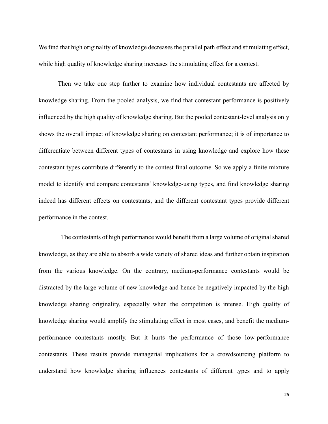We find that high originality of knowledge decreases the parallel path effect and stimulating effect, while high quality of knowledge sharing increases the stimulating effect for a contest.

Then we take one step further to examine how individual contestants are affected by knowledge sharing. From the pooled analysis, we find that contestant performance is positively influenced by the high quality of knowledge sharing. But the pooled contestant-level analysis only shows the overall impact of knowledge sharing on contestant performance; it is of importance to differentiate between different types of contestants in using knowledge and explore how these contestant types contribute differently to the contest final outcome. So we apply a finite mixture model to identify and compare contestants' knowledge-using types, and find knowledge sharing indeed has different effects on contestants, and the different contestant types provide different performance in the contest.

The contestants of high performance would benefit from a large volume of original shared knowledge, as they are able to absorb a wide variety of shared ideas and further obtain inspiration from the various knowledge. On the contrary, medium-performance contestants would be distracted by the large volume of new knowledge and hence be negatively impacted by the high knowledge sharing originality, especially when the competition is intense. High quality of knowledge sharing would amplify the stimulating effect in most cases, and benefit the mediumperformance contestants mostly. But it hurts the performance of those low-performance contestants. These results provide managerial implications for a crowdsourcing platform to understand how knowledge sharing influences contestants of different types and to apply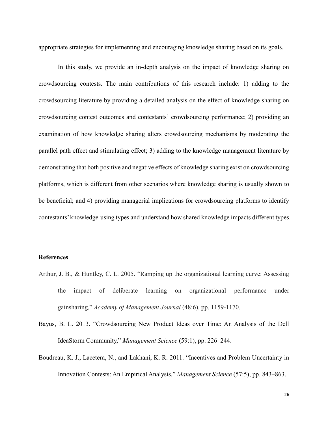appropriate strategies for implementing and encouraging knowledge sharing based on its goals.

In this study, we provide an in-depth analysis on the impact of knowledge sharing on crowdsourcing contests. The main contributions of this research include: 1) adding to the crowdsourcing literature by providing a detailed analysis on the effect of knowledge sharing on crowdsourcing contest outcomes and contestants' crowdsourcing performance; 2) providing an examination of how knowledge sharing alters crowdsourcing mechanisms by moderating the parallel path effect and stimulating effect; 3) adding to the knowledge management literature by demonstrating that both positive and negative effects of knowledge sharing exist on crowdsourcing platforms, which is different from other scenarios where knowledge sharing is usually shown to be beneficial; and 4) providing managerial implications for crowdsourcing platforms to identify contestants' knowledge-using types and understand how shared knowledge impacts different types.

#### **References**

- Arthur, J. B., & Huntley, C. L. 2005. "Ramping up the organizational learning curve: Assessing the impact of deliberate learning on organizational performance under gainsharing," *Academy of Management Journal* (48:6), pp. 1159-1170.
- Bayus, B. L. 2013. "Crowdsourcing New Product Ideas over Time: An Analysis of the Dell IdeaStorm Community," *Management Science* (59:1), pp. 226–244.
- Boudreau, K. J., Lacetera, N., and Lakhani, K. R. 2011. "Incentives and Problem Uncertainty in Innovation Contests: An Empirical Analysis," *Management Science* (57:5), pp. 843–863.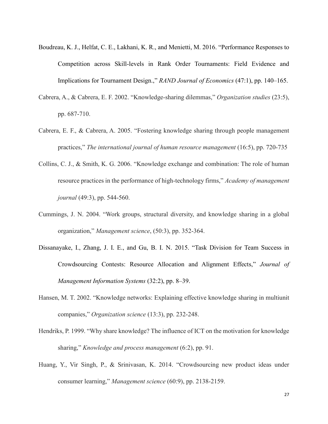- Boudreau, K. J., Helfat, C. E., Lakhani, K. R., and Menietti, M. 2016. "Performance Responses to Competition across Skill-levels in Rank Order Tournaments: Field Evidence and Implications for Tournament Design.," *RAND Journal of Economics* (47:1), pp. 140–165.
- Cabrera, A., & Cabrera, E. F. 2002. "Knowledge-sharing dilemmas," *Organization studies* (23:5), pp. 687-710.
- Cabrera, E. F., & Cabrera, A. 2005. "Fostering knowledge sharing through people management practices," *The international journal of human resource management* (16:5), pp. 720-735
- Collins, C. J., & Smith, K. G. 2006. "Knowledge exchange and combination: The role of human resource practices in the performance of high-technology firms," *Academy of management journal* (49:3), pp. 544-560.
- Cummings, J. N. 2004. "Work groups, structural diversity, and knowledge sharing in a global organization," *Management science*, (50:3), pp. 352-364.
- Dissanayake, I., Zhang, J. I. E., and Gu, B. I. N. 2015. "Task Division for Team Success in Crowdsourcing Contests: Resource Allocation and Alignment Effects," *Journal of Management Information Systems* (32:2), pp. 8–39.
- Hansen, M. T. 2002. "Knowledge networks: Explaining effective knowledge sharing in multiunit companies," *Organization science* (13:3), pp. 232-248.
- Hendriks, P. 1999. "Why share knowledge? The influence of ICT on the motivation for knowledge sharing," *Knowledge and process management* (6:2), pp. 91.
- Huang, Y., Vir Singh, P., & Srinivasan, K. 2014. "Crowdsourcing new product ideas under consumer learning," *Management science* (60:9), pp. 2138-2159.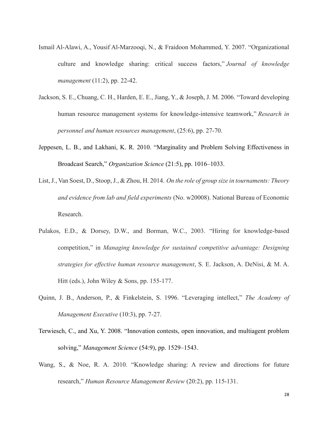- Ismail Al-Alawi, A., Yousif Al-Marzooqi, N., & Fraidoon Mohammed, Y. 2007. "Organizational culture and knowledge sharing: critical success factors," *Journal of knowledge management* (11:2), pp. 22-42.
- Jackson, S. E., Chuang, C. H., Harden, E. E., Jiang, Y., & Joseph, J. M. 2006. "Toward developing human resource management systems for knowledge-intensive teamwork," *Research in personnel and human resources management*, (25:6), pp. 27-70.
- Jeppesen, L. B., and Lakhani, K. R. 2010. "Marginality and Problem Solving Effectiveness in Broadcast Search," *Organization Science* (21:5), pp. 1016–1033.
- List, J., Van Soest, D., Stoop, J., & Zhou, H. 2014. *On the role of group size in tournaments: Theory and evidence from lab and field experiments* (No. w20008). National Bureau of Economic Research.
- Pulakos, E.D., & Dorsey, D.W., and Borman, W.C., 2003. "Hiring for knowledge-based competition," in *Managing knowledge for sustained competitive advantage: Designing strategies for effective human resource management*, S. E. Jackson, A. DeNisi, & M. A. Hitt (eds.), John Wiley & Sons, pp. 155-177.
- Quinn, J. B., Anderson, P., & Finkelstein, S. 1996. "Leveraging intellect," *The Academy of Management Executive* (10:3), pp. 7-27.
- Terwiesch, C., and Xu, Y. 2008. "Innovation contests, open innovation, and multiagent problem solving," *Management Science* (54:9), pp. 1529–1543.
- Wang, S., & Noe, R. A. 2010. "Knowledge sharing: A review and directions for future research," *Human Resource Management Review* (20:2), pp. 115-131.